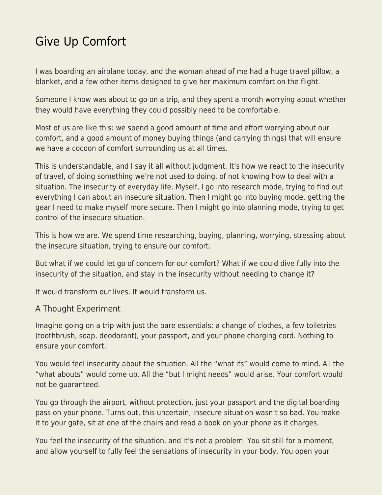## [Give Up Comfort](https://everything-voluntary.com/give-up-comfort)

I was boarding an airplane today, and the woman ahead of me had a huge travel pillow, a blanket, and a few other items designed to give her maximum comfort on the flight.

Someone I know was about to go on a trip, and they spent a month worrying about whether they would have everything they could possibly need to be comfortable.

Most of us are like this: we spend a good amount of time and effort worrying about our comfort, and a good amount of money buying things (and carrying things) that will ensure we have a cocoon of comfort surrounding us at all times.

This is understandable, and I say it all without judgment. It's how we react to the insecurity of travel, of doing something we're not used to doing, of not knowing how to deal with a situation. The insecurity of everyday life. Myself, I go into research mode, trying to find out everything I can about an insecure situation. Then I might go into buying mode, getting the gear I need to make myself more secure. Then I might go into planning mode, trying to get control of the insecure situation.

This is how we are. We spend time researching, buying, planning, worrying, stressing about the insecure situation, trying to ensure our comfort.

But what if we could let go of concern for our comfort? What if we could dive fully into the insecurity of the situation, and stay in the insecurity without needing to change it?

It would transform our lives. It would transform us.

## A Thought Experiment

Imagine going on a trip with just the bare essentials: a change of clothes, a few toiletries (toothbrush, soap, deodorant), your passport, and your phone charging cord. Nothing to ensure your comfort.

You would feel insecurity about the situation. All the "what ifs" would come to mind. All the "what abouts" would come up. All the "but I might needs" would arise. Your comfort would not be guaranteed.

You go through the airport, without protection, just your passport and the digital boarding pass on your phone. Turns out, this uncertain, insecure situation wasn't so bad. You make it to your gate, sit at one of the chairs and read a book on your phone as it charges.

You feel the insecurity of the situation, and it's not a problem. You sit still for a moment, and allow yourself to fully feel the sensations of insecurity in your body. You open your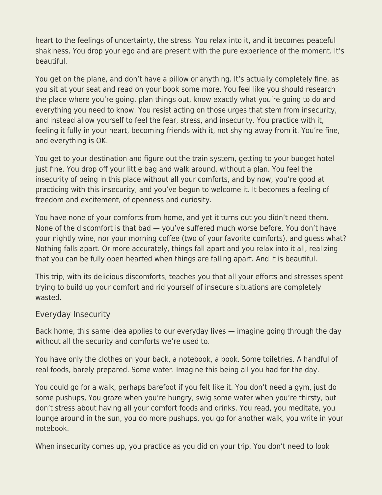heart to the feelings of uncertainty, the stress. You relax into it, and it becomes peaceful shakiness. You drop your ego and are present with the pure experience of the moment. It's beautiful.

You get on the plane, and don't have a pillow or anything. It's actually completely fine, as you sit at your seat and read on your book some more. You feel like you should research the place where you're going, plan things out, know exactly what you're going to do and everything you need to know. You resist acting on those urges that stem from insecurity, and instead allow yourself to feel the fear, stress, and insecurity. You practice with it, feeling it fully in your heart, becoming friends with it, not shying away from it. You're fine, and everything is OK.

You get to your destination and figure out the train system, getting to your budget hotel just fine. You drop off your little bag and walk around, without a plan. You feel the insecurity of being in this place without all your comforts, and by now, you're good at practicing with this insecurity, and you've begun to welcome it. It becomes a feeling of freedom and excitement, of openness and curiosity.

You have none of your comforts from home, and yet it turns out you didn't need them. None of the discomfort is that bad — you've suffered much worse before. You don't have your nightly wine, nor your morning coffee (two of your favorite comforts), and guess what? Nothing falls apart. Or more accurately, things fall apart and you relax into it all, realizing that you can be fully open hearted when things are falling apart. And it is beautiful.

This trip, with its delicious discomforts, teaches you that all your efforts and stresses spent trying to build up your comfort and rid yourself of insecure situations are completely wasted.

## Everyday Insecurity

Back home, this same idea applies to our everyday lives — imagine going through the day without all the security and comforts we're used to.

You have only the clothes on your back, a notebook, a book. Some toiletries. A handful of real foods, barely prepared. Some water. Imagine this being all you had for the day.

You could go for a walk, perhaps barefoot if you felt like it. You don't need a gym, just do some pushups, You graze when you're hungry, swig some water when you're thirsty, but don't stress about having all your comfort foods and drinks. You read, you meditate, you lounge around in the sun, you do more pushups, you go for another walk, you write in your notebook.

When insecurity comes up, you practice as you did on your trip. You don't need to look